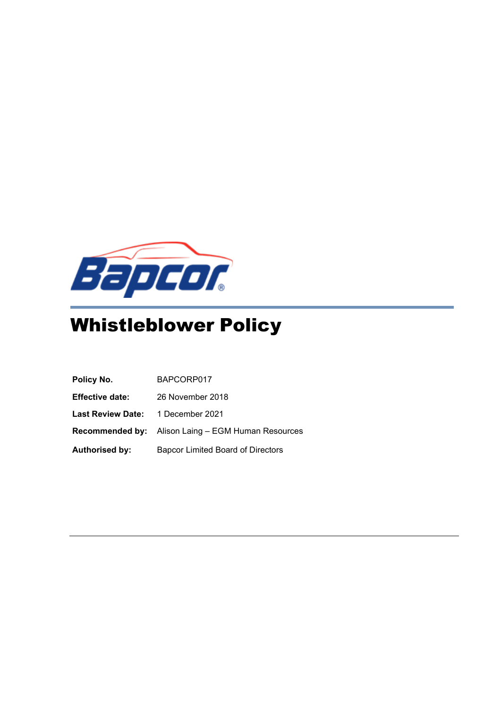

# Whistleblower Policy

| Policy No.                               | BAPCORP017                                                |
|------------------------------------------|-----------------------------------------------------------|
| <b>Effective date:</b>                   | 26 November 2018                                          |
| <b>Last Review Date:</b> 1 December 2021 |                                                           |
|                                          | <b>Recommended by:</b> Alison Laing - EGM Human Resources |
| <b>Authorised by:</b>                    | <b>Bapcor Limited Board of Directors</b>                  |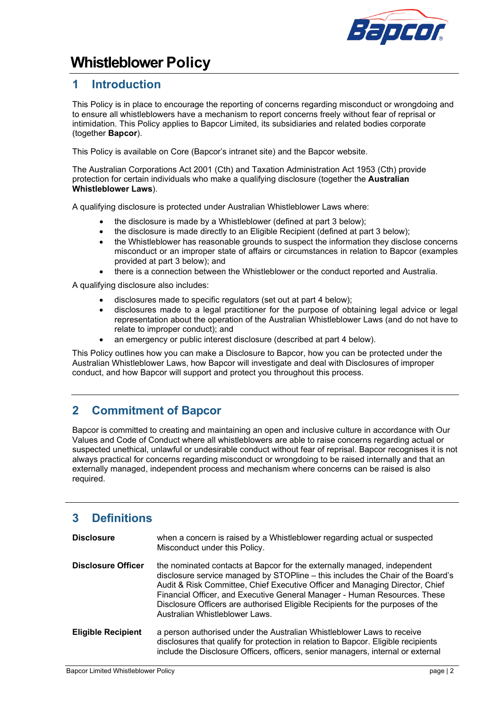

## **Whistleblower Policy**

## **1 Introduction**

This Policy is in place to encourage the reporting of concerns regarding misconduct or wrongdoing and to ensure all whistleblowers have a mechanism to report concerns freely without fear of reprisal or intimidation. This Policy applies to Bapcor Limited, its subsidiaries and related bodies corporate (together **Bapcor**).

This Policy is available on Core (Bapcor's intranet site) and the Bapcor website.

The Australian Corporations Act 2001 (Cth) and Taxation Administration Act 1953 (Cth) provide protection for certain individuals who make a qualifying disclosure (together the **Australian Whistleblower Laws**).

A qualifying disclosure is protected under Australian Whistleblower Laws where:

- the disclosure is made by a Whistleblower (defined at part 3 below);
- the disclosure is made directly to an Eligible Recipient (defined at part 3 below):
- the Whistleblower has reasonable grounds to suspect the information they disclose concerns misconduct or an improper state of affairs or circumstances in relation to Bapcor (examples provided at part 3 below); and
- there is a connection between the Whistleblower or the conduct reported and Australia.

A qualifying disclosure also includes:

- disclosures made to specific regulators (set out at part 4 below);
- disclosures made to a legal practitioner for the purpose of obtaining legal advice or legal representation about the operation of the Australian Whistleblower Laws (and do not have to relate to improper conduct); and
- an emergency or public interest disclosure (described at part 4 below).

This Policy outlines how you can make a Disclosure to Bapcor, how you can be protected under the Australian Whistleblower Laws, how Bapcor will investigate and deal with Disclosures of improper conduct, and how Bapcor will support and protect you throughout this process.

## **2 Commitment of Bapcor**

Bapcor is committed to creating and maintaining an open and inclusive culture in accordance with Our Values and Code of Conduct where all whistleblowers are able to raise concerns regarding actual or suspected unethical, unlawful or undesirable conduct without fear of reprisal. Bapcor recognises it is not always practical for concerns regarding misconduct or wrongdoing to be raised internally and that an externally managed, independent process and mechanism where concerns can be raised is also required.

## **3 Definitions**

| <b>Disclosure</b>         | when a concern is raised by a Whistleblower regarding actual or suspected<br>Misconduct under this Policy.                                                                                                                                                                                                                                                                                                                                   |
|---------------------------|----------------------------------------------------------------------------------------------------------------------------------------------------------------------------------------------------------------------------------------------------------------------------------------------------------------------------------------------------------------------------------------------------------------------------------------------|
| <b>Disclosure Officer</b> | the nominated contacts at Bapcor for the externally managed, independent<br>disclosure service managed by STOPline - this includes the Chair of the Board's<br>Audit & Risk Committee, Chief Executive Officer and Managing Director, Chief<br>Financial Officer, and Executive General Manager - Human Resources. These<br>Disclosure Officers are authorised Eligible Recipients for the purposes of the<br>Australian Whistleblower Laws. |
| <b>Eligible Recipient</b> | a person authorised under the Australian Whistleblower Laws to receive<br>disclosures that qualify for protection in relation to Bapcor. Eligible recipients<br>include the Disclosure Officers, officers, senior managers, internal or external                                                                                                                                                                                             |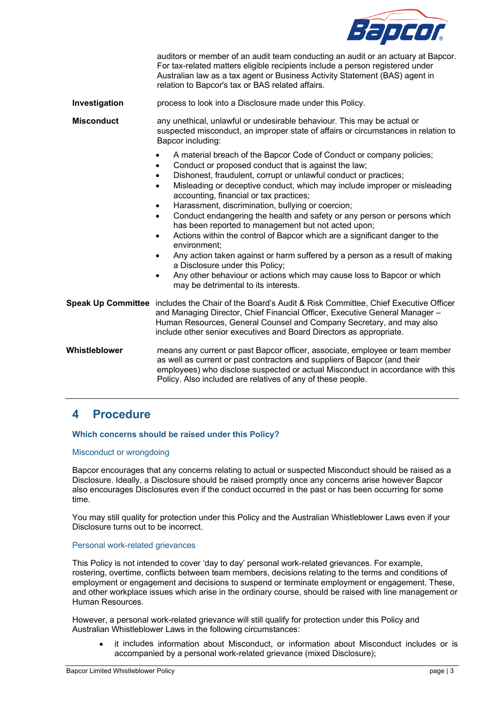

|                   | auditors or member of an audit team conducting an audit or an actuary at Bapcor.<br>For tax-related matters eligible recipients include a person registered under<br>Australian law as a tax agent or Business Activity Statement (BAS) agent in<br>relation to Bapcor's tax or BAS related affairs.                                                                                                                                                                                                                                                                                                                                                                                                                                                                                                                                                                                                                                               |  |  |
|-------------------|----------------------------------------------------------------------------------------------------------------------------------------------------------------------------------------------------------------------------------------------------------------------------------------------------------------------------------------------------------------------------------------------------------------------------------------------------------------------------------------------------------------------------------------------------------------------------------------------------------------------------------------------------------------------------------------------------------------------------------------------------------------------------------------------------------------------------------------------------------------------------------------------------------------------------------------------------|--|--|
| Investigation     | process to look into a Disclosure made under this Policy.                                                                                                                                                                                                                                                                                                                                                                                                                                                                                                                                                                                                                                                                                                                                                                                                                                                                                          |  |  |
| <b>Misconduct</b> | any unethical, unlawful or undesirable behaviour. This may be actual or<br>suspected misconduct, an improper state of affairs or circumstances in relation to<br>Bapcor including:                                                                                                                                                                                                                                                                                                                                                                                                                                                                                                                                                                                                                                                                                                                                                                 |  |  |
|                   | A material breach of the Bapcor Code of Conduct or company policies;<br>Conduct or proposed conduct that is against the law;<br>٠<br>Dishonest, fraudulent, corrupt or unlawful conduct or practices;<br>$\bullet$<br>Misleading or deceptive conduct, which may include improper or misleading<br>$\bullet$<br>accounting, financial or tax practices;<br>Harassment, discrimination, bullying or coercion;<br>$\bullet$<br>Conduct endangering the health and safety or any person or persons which<br>$\bullet$<br>has been reported to management but not acted upon;<br>Actions within the control of Bapcor which are a significant danger to the<br>$\bullet$<br>environment:<br>Any action taken against or harm suffered by a person as a result of making<br>$\bullet$<br>a Disclosure under this Policy;<br>Any other behaviour or actions which may cause loss to Bapcor or which<br>$\bullet$<br>may be detrimental to its interests. |  |  |
|                   | Speak Up Committee includes the Chair of the Board's Audit & Risk Committee, Chief Executive Officer<br>and Managing Director, Chief Financial Officer, Executive General Manager -<br>Human Resources, General Counsel and Company Secretary, and may also<br>include other senior executives and Board Directors as appropriate.                                                                                                                                                                                                                                                                                                                                                                                                                                                                                                                                                                                                                 |  |  |
| Whistleblower     | means any current or past Bapcor officer, associate, employee or team member<br>as well as current or past contractors and suppliers of Bapcor (and their<br>employees) who disclose suspected or actual Misconduct in accordance with this<br>Policy. Also included are relatives of any of these people.                                                                                                                                                                                                                                                                                                                                                                                                                                                                                                                                                                                                                                         |  |  |

## **4 Procedure**

#### **Which concerns should be raised under this Policy?**

#### Misconduct or wrongdoing

Bapcor encourages that any concerns relating to actual or suspected Misconduct should be raised as a Disclosure. Ideally, a Disclosure should be raised promptly once any concerns arise however Bapcor also encourages Disclosures even if the conduct occurred in the past or has been occurring for some time.

You may still quality for protection under this Policy and the Australian Whistleblower Laws even if your Disclosure turns out to be incorrect.

#### Personal work-related grievances

This Policy is not intended to cover 'day to day' personal work-related grievances. For example, rostering, overtime, conflicts between team members, decisions relating to the terms and conditions of employment or engagement and decisions to suspend or terminate employment or engagement. These, and other workplace issues which arise in the ordinary course, should be raised with line management or Human Resources.

However, a personal work-related grievance will still qualify for protection under this Policy and Australian Whistleblower Laws in the following circumstances:

• it includes information about Misconduct, or information about Misconduct includes or is accompanied by a personal work-related grievance (mixed Disclosure);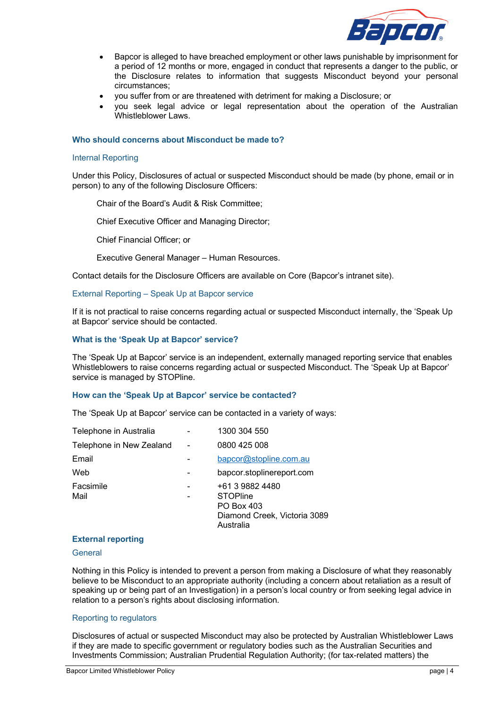

- Bapcor is alleged to have breached employment or other laws punishable by imprisonment for a period of 12 months or more, engaged in conduct that represents a danger to the public, or the Disclosure relates to information that suggests Misconduct beyond your personal circumstances;
- you suffer from or are threatened with detriment for making a Disclosure; or
- you seek legal advice or legal representation about the operation of the Australian Whistleblower Laws.

#### **Who should concerns about Misconduct be made to?**

#### Internal Reporting

Under this Policy, Disclosures of actual or suspected Misconduct should be made (by phone, email or in person) to any of the following Disclosure Officers:

Chair of the Board's Audit & Risk Committee;

Chief Executive Officer and Managing Director;

Chief Financial Officer; or

Executive General Manager – Human Resources.

Contact details for the Disclosure Officers are available on Core (Bapcor's intranet site).

#### External Reporting – Speak Up at Bapcor service

If it is not practical to raise concerns regarding actual or suspected Misconduct internally, the 'Speak Up at Bapcor' service should be contacted.

#### **What is the 'Speak Up at Bapcor' service?**

The 'Speak Up at Bapcor' service is an independent, externally managed reporting service that enables Whistleblowers to raise concerns regarding actual or suspected Misconduct. The 'Speak Up at Bapcor' service is managed by STOPline.

#### **How can the 'Speak Up at Bapcor' service be contacted?**

The 'Speak Up at Bapcor' service can be contacted in a variety of ways:

| Telephone in Australia   | 1300 304 550                                                                                  |
|--------------------------|-----------------------------------------------------------------------------------------------|
| Telephone in New Zealand | 0800 425 008                                                                                  |
| Email                    | bapcor@stopline.com.au                                                                        |
| Web                      | bapcor.stoplinereport.com                                                                     |
| Facsimile<br>Mail        | +61 3 9882 4480<br><b>STOPline</b><br>PO Box 403<br>Diamond Creek, Victoria 3089<br>Australia |

#### **External reporting**

#### **General**

Nothing in this Policy is intended to prevent a person from making a Disclosure of what they reasonably believe to be Misconduct to an appropriate authority (including a concern about retaliation as a result of speaking up or being part of an Investigation) in a person's local country or from seeking legal advice in relation to a person's rights about disclosing information.

#### Reporting to regulators

Disclosures of actual or suspected Misconduct may also be protected by Australian Whistleblower Laws if they are made to specific government or regulatory bodies such as the Australian Securities and Investments Commission; Australian Prudential Regulation Authority; (for tax-related matters) the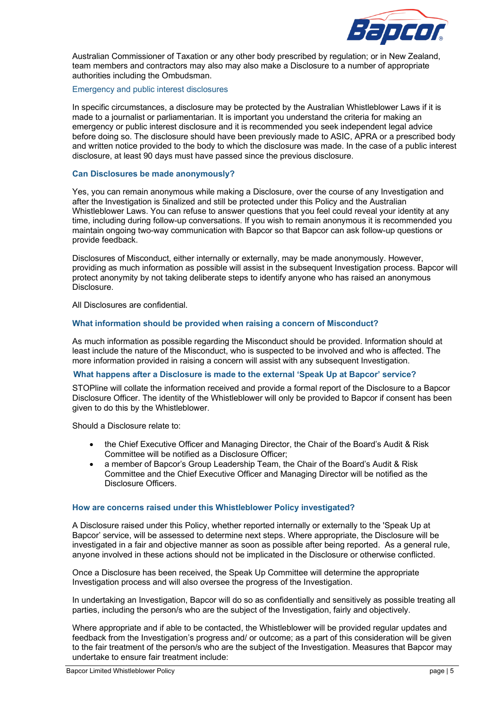

Australian Commissioner of Taxation or any other body prescribed by regulation; or in New Zealand, team members and contractors may also may also make a Disclosure to a number of appropriate authorities including the Ombudsman.

#### Emergency and public interest disclosures

In specific circumstances, a disclosure may be protected by the Australian Whistleblower Laws if it is made to a journalist or parliamentarian. It is important you understand the criteria for making an emergency or public interest disclosure and it is recommended you seek independent legal advice before doing so. The disclosure should have been previously made to ASIC, APRA or a prescribed body and written notice provided to the body to which the disclosure was made. In the case of a public interest disclosure, at least 90 days must have passed since the previous disclosure.

#### **Can Disclosures be made anonymously?**

Yes, you can remain anonymous while making a Disclosure, over the course of any Investigation and after the Investigation is 5inalized and still be protected under this Policy and the Australian Whistleblower Laws. You can refuse to answer questions that you feel could reveal your identity at any time, including during follow-up conversations. If you wish to remain anonymous it is recommended you maintain ongoing two-way communication with Bapcor so that Bapcor can ask follow-up questions or provide feedback.

Disclosures of Misconduct, either internally or externally, may be made anonymously. However, providing as much information as possible will assist in the subsequent Investigation process. Bapcor will protect anonymity by not taking deliberate steps to identify anyone who has raised an anonymous Disclosure.

All Disclosures are confidential.

#### **What information should be provided when raising a concern of Misconduct?**

As much information as possible regarding the Misconduct should be provided. Information should at least include the nature of the Misconduct, who is suspected to be involved and who is affected. The more information provided in raising a concern will assist with any subsequent Investigation.

#### **What happens after a Disclosure is made to the external 'Speak Up at Bapcor' service?**

STOPline will collate the information received and provide a formal report of the Disclosure to a Bapcor Disclosure Officer. The identity of the Whistleblower will only be provided to Bapcor if consent has been given to do this by the Whistleblower.

Should a Disclosure relate to:

- the Chief Executive Officer and Managing Director, the Chair of the Board's Audit & Risk Committee will be notified as a Disclosure Officer;
- a member of Bapcor's Group Leadership Team, the Chair of the Board's Audit & Risk Committee and the Chief Executive Officer and Managing Director will be notified as the Disclosure Officers.

#### **How are concerns raised under this Whistleblower Policy investigated?**

A Disclosure raised under this Policy, whether reported internally or externally to the 'Speak Up at Bapcor' service, will be assessed to determine next steps. Where appropriate, the Disclosure will be investigated in a fair and objective manner as soon as possible after being reported. As a general rule, anyone involved in these actions should not be implicated in the Disclosure or otherwise conflicted.

Once a Disclosure has been received, the Speak Up Committee will determine the appropriate Investigation process and will also oversee the progress of the Investigation.

In undertaking an Investigation, Bapcor will do so as confidentially and sensitively as possible treating all parties, including the person/s who are the subject of the Investigation, fairly and objectively.

Where appropriate and if able to be contacted, the Whistleblower will be provided regular updates and feedback from the Investigation's progress and/ or outcome; as a part of this consideration will be given to the fair treatment of the person/s who are the subject of the Investigation. Measures that Bapcor may undertake to ensure fair treatment include: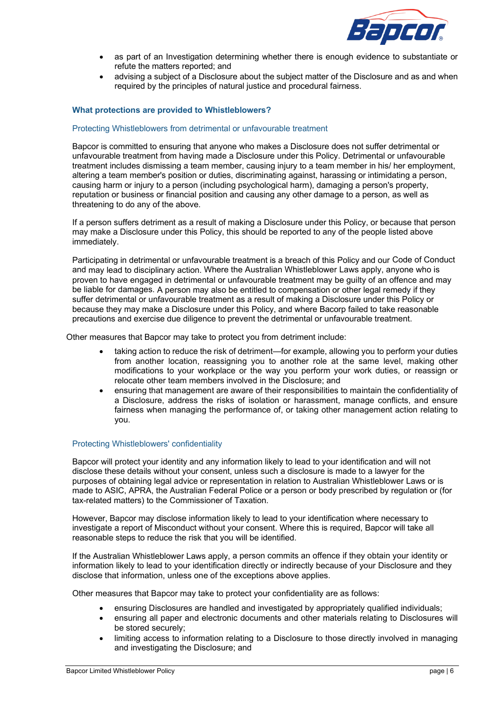

- as part of an Investigation determining whether there is enough evidence to substantiate or refute the matters reported; and
- advising a subject of a Disclosure about the subject matter of the Disclosure and as and when required by the principles of natural justice and procedural fairness.

#### **What protections are provided to Whistleblowers?**

#### Protecting Whistleblowers from detrimental or unfavourable treatment

Bapcor is committed to ensuring that anyone who makes a Disclosure does not suffer detrimental or unfavourable treatment from having made a Disclosure under this Policy. Detrimental or unfavourable treatment includes dismissing a team member, causing injury to a team member in his/ her employment, altering a team member's position or duties, discriminating against, harassing or intimidating a person, causing harm or injury to a person (including psychological harm), damaging a person's property, reputation or business or financial position and causing any other damage to a person, as well as threatening to do any of the above.

If a person suffers detriment as a result of making a Disclosure under this Policy, or because that person may make a Disclosure under this Policy, this should be reported to any of the people listed above immediately.

Participating in detrimental or unfavourable treatment is a breach of this Policy and our Code of Conduct and may lead to disciplinary action. Where the Australian Whistleblower Laws apply, anyone who is proven to have engaged in detrimental or unfavourable treatment may be guilty of an offence and may be liable for damages. A person may also be entitled to compensation or other legal remedy if they suffer detrimental or unfavourable treatment as a result of making a Disclosure under this Policy or because they may make a Disclosure under this Policy, and where Bacorp failed to take reasonable precautions and exercise due diligence to prevent the detrimental or unfavourable treatment.

Other measures that Bapcor may take to protect you from detriment include:

- taking action to reduce the risk of detriment—for example, allowing you to perform your duties from another location, reassigning you to another role at the same level, making other modifications to your workplace or the way you perform your work duties, or reassign or relocate other team members involved in the Disclosure; and
- ensuring that management are aware of their responsibilities to maintain the confidentiality of a Disclosure, address the risks of isolation or harassment, manage conflicts, and ensure fairness when managing the performance of, or taking other management action relating to you.

#### Protecting Whistleblowers' confidentiality

Bapcor will protect your identity and any information likely to lead to your identification and will not disclose these details without your consent, unless such a disclosure is made to a lawyer for the purposes of obtaining legal advice or representation in relation to Australian Whistleblower Laws or is made to ASIC, APRA, the Australian Federal Police or a person or body prescribed by regulation or (for tax-related matters) to the Commissioner of Taxation.

However, Bapcor may disclose information likely to lead to your identification where necessary to investigate a report of Misconduct without your consent. Where this is required, Bapcor will take all reasonable steps to reduce the risk that you will be identified.

If the Australian Whistleblower Laws apply, a person commits an offence if they obtain your identity or information likely to lead to your identification directly or indirectly because of your Disclosure and they disclose that information, unless one of the exceptions above applies.

Other measures that Bapcor may take to protect your confidentiality are as follows:

- ensuring Disclosures are handled and investigated by appropriately qualified individuals;
- ensuring all paper and electronic documents and other materials relating to Disclosures will be stored securely;
- limiting access to information relating to a Disclosure to those directly involved in managing and investigating the Disclosure; and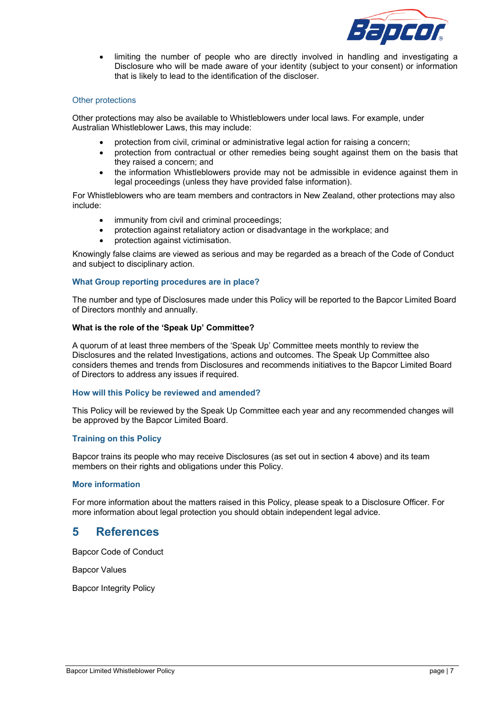

• limiting the number of people who are directly involved in handling and investigating a Disclosure who will be made aware of your identity (subject to your consent) or information that is likely to lead to the identification of the discloser.

#### Other protections

Other protections may also be available to Whistleblowers under local laws. For example, under Australian Whistleblower Laws, this may include:

- protection from civil, criminal or administrative legal action for raising a concern;
- protection from contractual or other remedies being sought against them on the basis that they raised a concern; and
- the information Whistleblowers provide may not be admissible in evidence against them in legal proceedings (unless they have provided false information).

For Whistleblowers who are team members and contractors in New Zealand, other protections may also include:

- immunity from civil and criminal proceedings;
- protection against retaliatory action or disadvantage in the workplace; and
- protection against victimisation.

Knowingly false claims are viewed as serious and may be regarded as a breach of the Code of Conduct and subject to disciplinary action.

#### **What Group reporting procedures are in place?**

The number and type of Disclosures made under this Policy will be reported to the Bapcor Limited Board of Directors monthly and annually.

#### **What is the role of the 'Speak Up' Committee?**

A quorum of at least three members of the 'Speak Up' Committee meets monthly to review the Disclosures and the related Investigations, actions and outcomes. The Speak Up Committee also considers themes and trends from Disclosures and recommends initiatives to the Bapcor Limited Board of Directors to address any issues if required.

#### **How will this Policy be reviewed and amended?**

This Policy will be reviewed by the Speak Up Committee each year and any recommended changes will be approved by the Bapcor Limited Board.

#### **Training on this Policy**

Bapcor trains its people who may receive Disclosures (as set out in section 4 above) and its team members on their rights and obligations under this Policy.

#### **More information**

For more information about the matters raised in this Policy, please speak to a Disclosure Officer. For more information about legal protection you should obtain independent legal advice.

### **5 References**

Bapcor Code of Conduct

Bapcor Values

Bapcor Integrity Policy